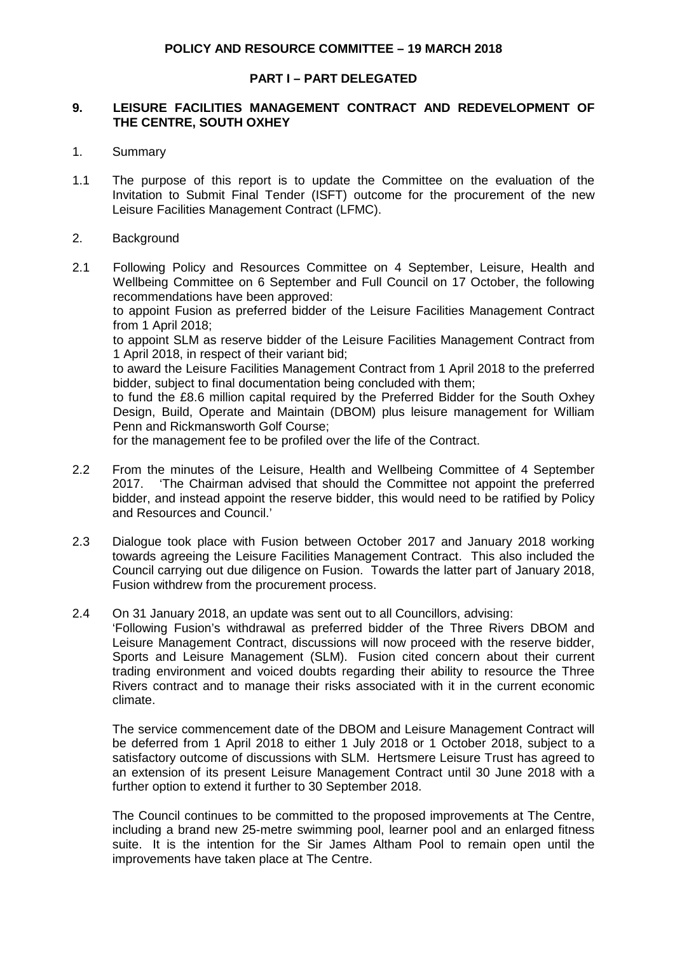### **PART I – PART DELEGATED**

### **9. LEISURE FACILITIES MANAGEMENT CONTRACT AND REDEVELOPMENT OF THE CENTRE, SOUTH OXHEY**

- 1. Summary
- 1.1 The purpose of this report is to update the Committee on the evaluation of the Invitation to Submit Final Tender (ISFT) outcome for the procurement of the new Leisure Facilities Management Contract (LFMC).
- 2. Background
- 2.1 Following Policy and Resources Committee on 4 September, Leisure, Health and Wellbeing Committee on 6 September and Full Council on 17 October, the following recommendations have been approved:

to appoint Fusion as preferred bidder of the Leisure Facilities Management Contract from 1 April 2018;

to appoint SLM as reserve bidder of the Leisure Facilities Management Contract from 1 April 2018, in respect of their variant bid;

to award the Leisure Facilities Management Contract from 1 April 2018 to the preferred bidder, subject to final documentation being concluded with them;

to fund the £8.6 million capital required by the Preferred Bidder for the South Oxhey Design, Build, Operate and Maintain (DBOM) plus leisure management for William Penn and Rickmansworth Golf Course;

for the management fee to be profiled over the life of the Contract.

- 2.2 From the minutes of the Leisure, Health and Wellbeing Committee of 4 September 2017. 'The Chairman advised that should the Committee not appoint the preferred bidder, and instead appoint the reserve bidder, this would need to be ratified by Policy and Resources and Council.'
- 2.3 Dialogue took place with Fusion between October 2017 and January 2018 working towards agreeing the Leisure Facilities Management Contract. This also included the Council carrying out due diligence on Fusion. Towards the latter part of January 2018, Fusion withdrew from the procurement process.
- 2.4 On 31 January 2018, an update was sent out to all Councillors, advising:

'Following Fusion's withdrawal as preferred bidder of the Three Rivers DBOM and Leisure Management Contract, discussions will now proceed with the reserve bidder, Sports and Leisure Management (SLM). Fusion cited concern about their current trading environment and voiced doubts regarding their ability to resource the Three Rivers contract and to manage their risks associated with it in the current economic climate.

The service commencement date of the DBOM and Leisure Management Contract will be deferred from 1 April 2018 to either 1 July 2018 or 1 October 2018, subject to a satisfactory outcome of discussions with SLM. Hertsmere Leisure Trust has agreed to an extension of its present Leisure Management Contract until 30 June 2018 with a further option to extend it further to 30 September 2018.

The Council continues to be committed to the proposed improvements at The Centre, including a brand new 25-metre swimming pool, learner pool and an enlarged fitness suite. It is the intention for the Sir James Altham Pool to remain open until the improvements have taken place at The Centre.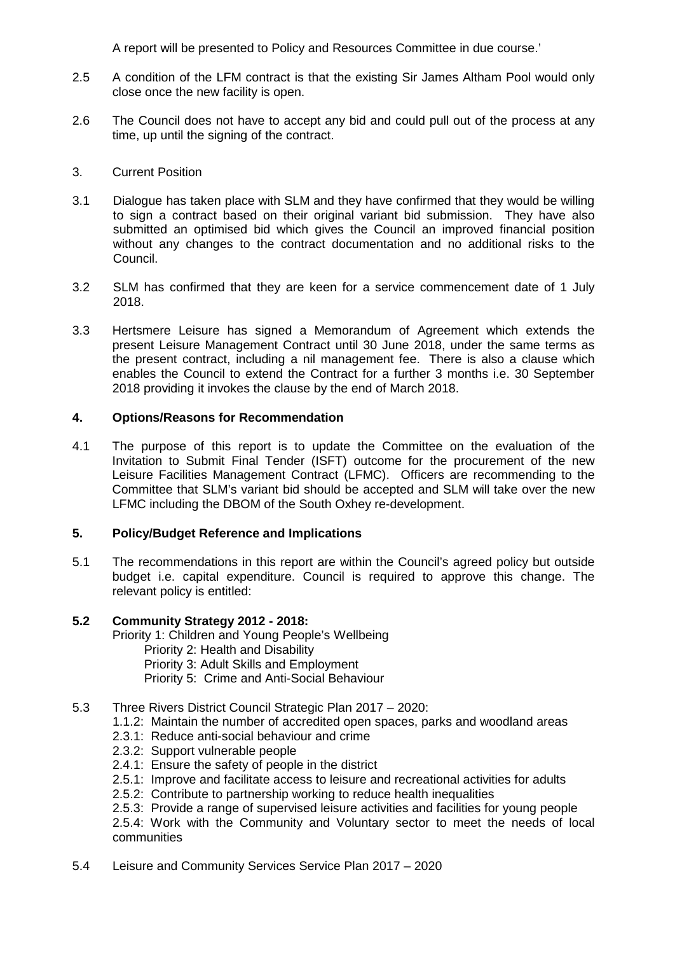A report will be presented to Policy and Resources Committee in due course.'

- 2.5 A condition of the LFM contract is that the existing Sir James Altham Pool would only close once the new facility is open.
- 2.6 The Council does not have to accept any bid and could pull out of the process at any time, up until the signing of the contract.
- 3. Current Position
- 3.1 Dialogue has taken place with SLM and they have confirmed that they would be willing to sign a contract based on their original variant bid submission. They have also submitted an optimised bid which gives the Council an improved financial position without any changes to the contract documentation and no additional risks to the Council.
- 3.2 SLM has confirmed that they are keen for a service commencement date of 1 July 2018.
- 3.3 Hertsmere Leisure has signed a Memorandum of Agreement which extends the present Leisure Management Contract until 30 June 2018, under the same terms as the present contract, including a nil management fee. There is also a clause which enables the Council to extend the Contract for a further 3 months i.e. 30 September 2018 providing it invokes the clause by the end of March 2018.

## **4. Options/Reasons for Recommendation**

4.1 The purpose of this report is to update the Committee on the evaluation of the Invitation to Submit Final Tender (ISFT) outcome for the procurement of the new Leisure Facilities Management Contract (LFMC). Officers are recommending to the Committee that SLM's variant bid should be accepted and SLM will take over the new LFMC including the DBOM of the South Oxhey re-development.

### **5. Policy/Budget Reference and Implications**

5.1 The recommendations in this report are within the Council's agreed policy but outside budget i.e. capital expenditure. Council is required to approve this change. The relevant policy is entitled:

### **5.2 Community Strategy 2012 - 2018:**

Priority 1: Children and Young People's Wellbeing

- Priority 2: Health and Disability
- Priority 3: Adult Skills and Employment
- Priority 5: Crime and Anti-Social Behaviour
- 5.3 Three Rivers District Council Strategic Plan 2017 2020:
	- 1.1.2: Maintain the number of accredited open spaces, parks and woodland areas
	- 2.3.1: Reduce anti-social behaviour and crime
	- 2.3.2: Support vulnerable people
	- 2.4.1: Ensure the safety of people in the district
	- 2.5.1: Improve and facilitate access to leisure and recreational activities for adults
	- 2.5.2: Contribute to partnership working to reduce health inequalities
	- 2.5.3: Provide a range of supervised leisure activities and facilities for young people 2.5.4: Work with the Community and Voluntary sector to meet the needs of local communities
- 5.4 Leisure and Community Services Service Plan 2017 2020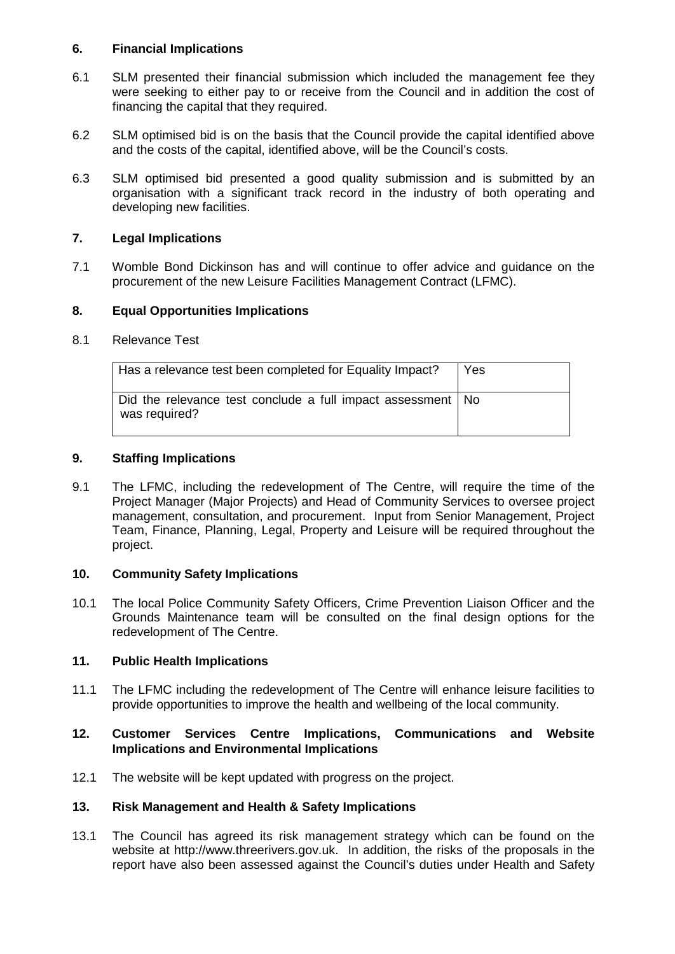### **6. Financial Implications**

- 6.1 SLM presented their financial submission which included the management fee they were seeking to either pay to or receive from the Council and in addition the cost of financing the capital that they required.
- 6.2 SLM optimised bid is on the basis that the Council provide the capital identified above and the costs of the capital, identified above, will be the Council's costs.
- 6.3 SLM optimised bid presented a good quality submission and is submitted by an organisation with a significant track record in the industry of both operating and developing new facilities.

# **7. Legal Implications**

7.1 Womble Bond Dickinson has and will continue to offer advice and guidance on the procurement of the new Leisure Facilities Management Contract (LFMC).

# **8. Equal Opportunities Implications**

8.1 Relevance Test

| Has a relevance test been completed for Equality Impact?                       | Yes |
|--------------------------------------------------------------------------------|-----|
| Did the relevance test conclude a full impact assessment   No<br>was required? |     |

## **9. Staffing Implications**

9.1 The LFMC, including the redevelopment of The Centre, will require the time of the Project Manager (Major Projects) and Head of Community Services to oversee project management, consultation, and procurement. Input from Senior Management, Project Team, Finance, Planning, Legal, Property and Leisure will be required throughout the project.

### **10. Community Safety Implications**

10.1 The local Police Community Safety Officers, Crime Prevention Liaison Officer and the Grounds Maintenance team will be consulted on the final design options for the redevelopment of The Centre.

### **11. Public Health Implications**

11.1 The LFMC including the redevelopment of The Centre will enhance leisure facilities to provide opportunities to improve the health and wellbeing of the local community.

## **12. Customer Services Centre Implications, Communications and Website Implications and Environmental Implications**

12.1 The website will be kept updated with progress on the project.

### **13. Risk Management and Health & Safety Implications**

13.1 The Council has agreed its risk management strategy which can be found on the website at http://www.threerivers.gov.uk. In addition, the risks of the proposals in the report have also been assessed against the Council's duties under Health and Safety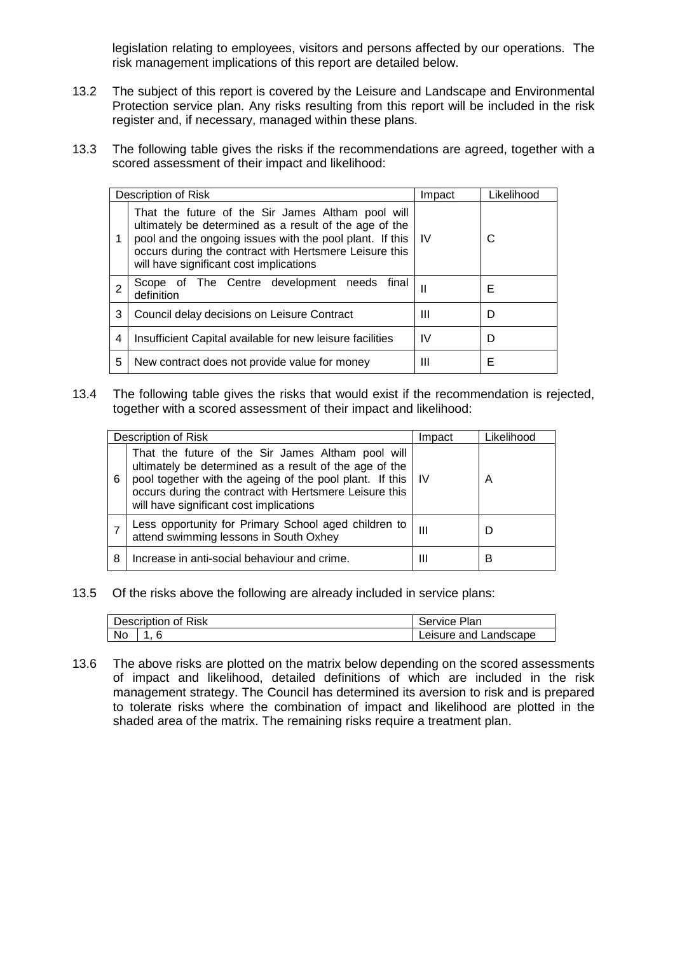legislation relating to employees, visitors and persons affected by our operations. The risk management implications of this report are detailed below.

- 13.2 The subject of this report is covered by the Leisure and Landscape and Environmental Protection service plan. Any risks resulting from this report will be included in the risk register and, if necessary, managed within these plans.
- 13.3 The following table gives the risks if the recommendations are agreed, together with a scored assessment of their impact and likelihood:

|                | Description of Risk                                                                                                                                                                                                                                                               | Impact       | Likelihood |  |  |
|----------------|-----------------------------------------------------------------------------------------------------------------------------------------------------------------------------------------------------------------------------------------------------------------------------------|--------------|------------|--|--|
| 1              | That the future of the Sir James Altham pool will<br>ultimately be determined as a result of the age of the<br>pool and the ongoing issues with the pool plant. If this   IV<br>occurs during the contract with Hertsmere Leisure this<br>will have significant cost implications |              | С          |  |  |
| $\overline{2}$ | Scope of The Centre development needs<br>final<br>definition                                                                                                                                                                                                                      | $\mathbf{I}$ | Е          |  |  |
| 3              | Council delay decisions on Leisure Contract                                                                                                                                                                                                                                       | Ш            | D          |  |  |
| 4              | Insufficient Capital available for new leisure facilities                                                                                                                                                                                                                         | IV           | D          |  |  |
| 5              | New contract does not provide value for money                                                                                                                                                                                                                                     | Ш            | Е          |  |  |

13.4 The following table gives the risks that would exist if the recommendation is rejected, together with a scored assessment of their impact and likelihood:

|   | Description of Risk                                                                                                                                                                                                                                                               | Impact | Likelihood |
|---|-----------------------------------------------------------------------------------------------------------------------------------------------------------------------------------------------------------------------------------------------------------------------------------|--------|------------|
| 6 | That the future of the Sir James Altham pool will<br>ultimately be determined as a result of the age of the<br>pool together with the ageing of the pool plant. If this   IV<br>occurs during the contract with Hertsmere Leisure this<br>will have significant cost implications |        | A          |
|   | Less opportunity for Primary School aged children to<br>attend swimming lessons in South Oxhey                                                                                                                                                                                    | Ш      |            |
| 8 | Increase in anti-social behaviour and crime.                                                                                                                                                                                                                                      | ш      | в          |

13.5 Of the risks above the following are already included in service plans:

| Description of Risk |  | Service Plan          |
|---------------------|--|-----------------------|
| No                  |  | Leisure and Landscape |

13.6 The above risks are plotted on the matrix below depending on the scored assessments of impact and likelihood, detailed definitions of which are included in the risk management strategy. The Council has determined its aversion to risk and is prepared to tolerate risks where the combination of impact and likelihood are plotted in the shaded area of the matrix. The remaining risks require a treatment plan.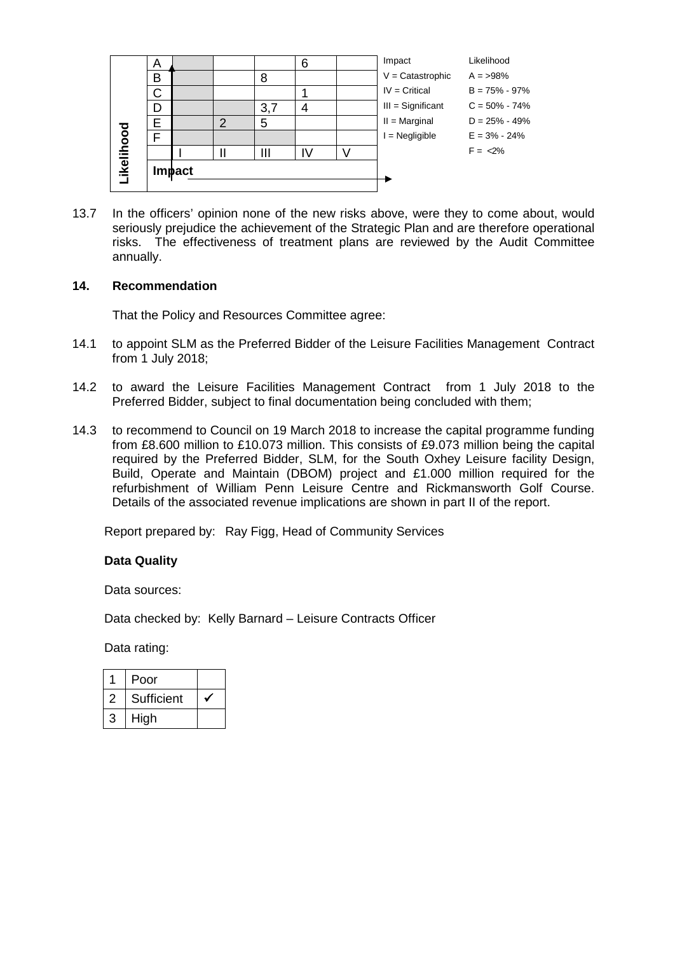|            | A |               |   |     | 6  | Impact              | Likelihood        |
|------------|---|---------------|---|-----|----|---------------------|-------------------|
|            | В |               |   | 8   |    | $V =$ Catastrophic  | $A = 98\%$        |
|            | C |               |   |     |    | $IV = Critical$     | $B = 75\% - 97\%$ |
|            | D |               |   | 3,7 |    | $III =$ Significant | $C = 50\% - 74\%$ |
|            | E |               | 2 | 5   |    | $II = Marginal$     | $D = 25\% - 49\%$ |
|            |   |               |   |     |    | $=$ Negligible      | $E = 3\% - 24\%$  |
|            |   |               |   | Ш   | I٧ |                     | $F = 2\%$         |
| Likelihood |   | <b>Impact</b> |   |     |    |                     |                   |

13.7 In the officers' opinion none of the new risks above, were they to come about, would seriously prejudice the achievement of the Strategic Plan and are therefore operational risks. The effectiveness of treatment plans are reviewed by the Audit Committee annually.

### **14. Recommendation**

That the Policy and Resources Committee agree:

- 14.1 to appoint SLM as the Preferred Bidder of the Leisure Facilities Management Contract from 1 July 2018;
- 14.2 to award the Leisure Facilities Management Contract from 1 July 2018 to the Preferred Bidder, subject to final documentation being concluded with them;
- 14.3 to recommend to Council on 19 March 2018 to increase the capital programme funding from £8.600 million to £10.073 million. This consists of £9.073 million being the capital required by the Preferred Bidder, SLM, for the South Oxhey Leisure facility Design, Build, Operate and Maintain (DBOM) project and £1.000 million required for the refurbishment of William Penn Leisure Centre and Rickmansworth Golf Course. Details of the associated revenue implications are shown in part II of the report.

Report prepared by: Ray Figg, Head of Community Services

### **Data Quality**

Data sources:

Data checked by: Kelly Barnard – Leisure Contracts Officer

Data rating:

|   | Poor       |  |
|---|------------|--|
| ン | Sufficient |  |
| 3 | High       |  |